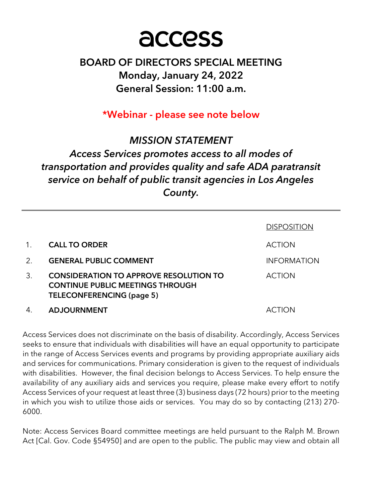

# BOARD OF DIRECTORS SPECIAL MEETING Monday, January 24, 2022 General Session: 11:00 a.m.

\*Webinar - please see note below

# MISSION STATEMENT Access Services promotes access to all modes of transportation and provides quality and safe ADA paratransit service on behalf of public transit agencies in Los Angeles County.

|    |                                                                                                                              | <b>DISPOSITION</b> |
|----|------------------------------------------------------------------------------------------------------------------------------|--------------------|
|    | <b>CALL TO ORDER</b>                                                                                                         | <b>ACTION</b>      |
| 2. | <b>GENERAL PUBLIC COMMENT</b>                                                                                                | <b>INFORMATION</b> |
| 3. | <b>CONSIDERATION TO APPROVE RESOLUTION TO</b><br><b>CONTINUE PUBLIC MEETINGS THROUGH</b><br><b>TELECONFERENCING (page 5)</b> | <b>ACTION</b>      |
| 4. | <b>ADJOURNMENT</b>                                                                                                           | ACTION             |

Access Services does not discriminate on the basis of disability. Accordingly, Access Services seeks to ensure that individuals with disabilities will have an equal opportunity to participate in the range of Access Services events and programs by providing appropriate auxiliary aids and services for communications. Primary consideration is given to the request of individuals with disabilities. However, the final decision belongs to Access Services. To help ensure the availability of any auxiliary aids and services you require, please make every effort to notify Access Services of your request at least three (3) business days (72 hours) prior to the meeting in which you wish to utilize those aids or services. You may do so by contacting (213) 270- 6000.

Note: Access Services Board committee meetings are held pursuant to the Ralph M. Brown Act [Cal. Gov. Code §54950] and are open to the public. The public may view and obtain all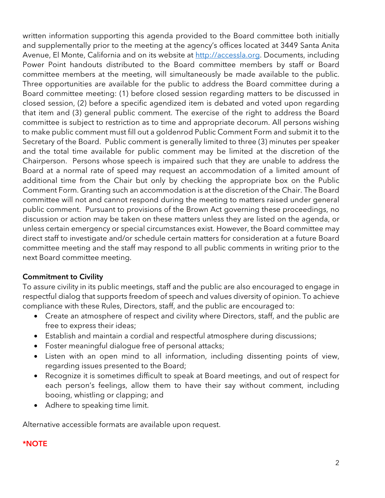written information supporting this agenda provided to the Board committee both initially and supplementally prior to the meeting at the agency's offices located at 3449 Santa Anita Avenue, El Monte, California and on its website at http://accessla.org. Documents, including Power Point handouts distributed to the Board committee members by staff or Board committee members at the meeting, will simultaneously be made available to the public. Three opportunities are available for the public to address the Board committee during a Board committee meeting: (1) before closed session regarding matters to be discussed in closed session, (2) before a specific agendized item is debated and voted upon regarding that item and (3) general public comment. The exercise of the right to address the Board committee is subject to restriction as to time and appropriate decorum. All persons wishing to make public comment must fill out a goldenrod Public Comment Form and submit it to the Secretary of the Board. Public comment is generally limited to three (3) minutes per speaker and the total time available for public comment may be limited at the discretion of the Chairperson. Persons whose speech is impaired such that they are unable to address the Board at a normal rate of speed may request an accommodation of a limited amount of additional time from the Chair but only by checking the appropriate box on the Public Comment Form. Granting such an accommodation is at the discretion of the Chair. The Board committee will not and cannot respond during the meeting to matters raised under general public comment. Pursuant to provisions of the Brown Act governing these proceedings, no discussion or action may be taken on these matters unless they are listed on the agenda, or unless certain emergency or special circumstances exist. However, the Board committee may direct staff to investigate and/or schedule certain matters for consideration at a future Board committee meeting and the staff may respond to all public comments in writing prior to the next Board committee meeting.

### Commitment to Civility

To assure civility in its public meetings, staff and the public are also encouraged to engage in respectful dialog that supports freedom of speech and values diversity of opinion. To achieve compliance with these Rules, Directors, staff, and the public are encouraged to:

- Create an atmosphere of respect and civility where Directors, staff, and the public are free to express their ideas;
- Establish and maintain a cordial and respectful atmosphere during discussions;
- Foster meaningful dialogue free of personal attacks;
- Listen with an open mind to all information, including dissenting points of view, regarding issues presented to the Board;
- Recognize it is sometimes difficult to speak at Board meetings, and out of respect for each person's feelings, allow them to have their say without comment, including booing, whistling or clapping; and
- Adhere to speaking time limit.

Alternative accessible formats are available upon request.

## \*NOTE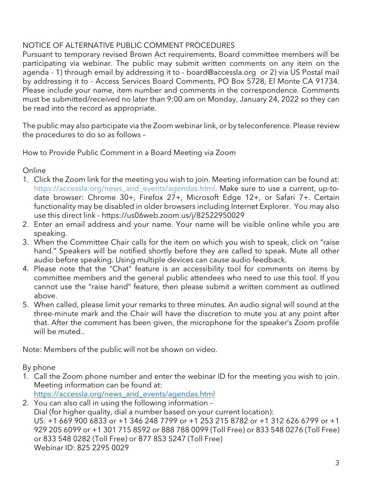## NOTICE OF ALTERNATIVE PUBLIC COMMENT PROCEDURES

Pursuant to temporary revised Brown Act requirements, Board committee members will be participating via webinar. The public may submit written comments on any item on the agenda - 1) through email by addressing it to - board@accessla.org or 2) via US Postal mail by addressing it to - Access Services Board Comments, PO Box 5728, El Monte CA 91734. Please include your name, item number and comments in the correspondence. Comments must be submitted/received no later than 9:00 am on Monday, January 24, 2022 so they can be read into the record as appropriate.

The public may also participate via the Zoom webinar link, or by teleconference. Please review the procedures to do so as follows –

How to Provide Public Comment in a Board Meeting via Zoom

Online

- 1. Click the Zoom link for the meeting you wish to join. Meeting information can be found at: https://accessla.org/news\_and\_events/agendas.html. Make sure to use a current, up-todate browser: Chrome 30+, Firefox 27+, Microsoft Edge 12+, or Safari 7+. Certain functionality may be disabled in older browsers including Internet Explorer. You may also use this direct link - https://us06web.zoom.us/j/82522950029
- 2. Enter an email address and your name. Your name will be visible online while you are speaking.
- 3. When the Committee Chair calls for the item on which you wish to speak, click on "raise hand." Speakers will be notified shortly before they are called to speak. Mute all other audio before speaking. Using multiple devices can cause audio feedback.
- 4. Please note that the "Chat" feature is an accessibility tool for comments on items by committee members and the general public attendees who need to use this tool. If you cannot use the "raise hand" feature, then please submit a written comment as outlined above.
- 5. When called, please limit your remarks to three minutes. An audio signal will sound at the three-minute mark and the Chair will have the discretion to mute you at any point after that. After the comment has been given, the microphone for the speaker's Zoom profile will be muted..

Note: Members of the public will not be shown on video.

By phone

1. Call the Zoom phone number and enter the webinar ID for the meeting you wish to join. Meeting information can be found at: https://accessla.org/news\_and\_events/agendas.html

2. You can also call in using the following information – Dial (for higher quality, dial a number based on your current location): US: +1 669 900 6833 or +1 346 248 7799 or +1 253 215 8782 or +1 312 626 6799 or +1 929 205 6099 or +1 301 715 8592 or 888 788 0099 (Toll Free) or 833 548 0276 (Toll Free) or 833 548 0282 (Toll Free) or 877 853 5247 (Toll Free) Webinar ID: 825 2295 0029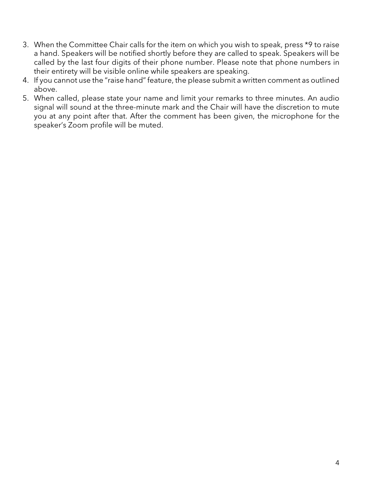- 3. When the Committee Chair calls for the item on which you wish to speak, press \*9 to raise a hand. Speakers will be notified shortly before they are called to speak. Speakers will be called by the last four digits of their phone number. Please note that phone numbers in their entirety will be visible online while speakers are speaking.
- 4. If you cannot use the "raise hand" feature, the please submit a written comment as outlined above.
- 5. When called, please state your name and limit your remarks to three minutes. An audio signal will sound at the three-minute mark and the Chair will have the discretion to mute you at any point after that. After the comment has been given, the microphone for the speaker's Zoom profile will be muted.